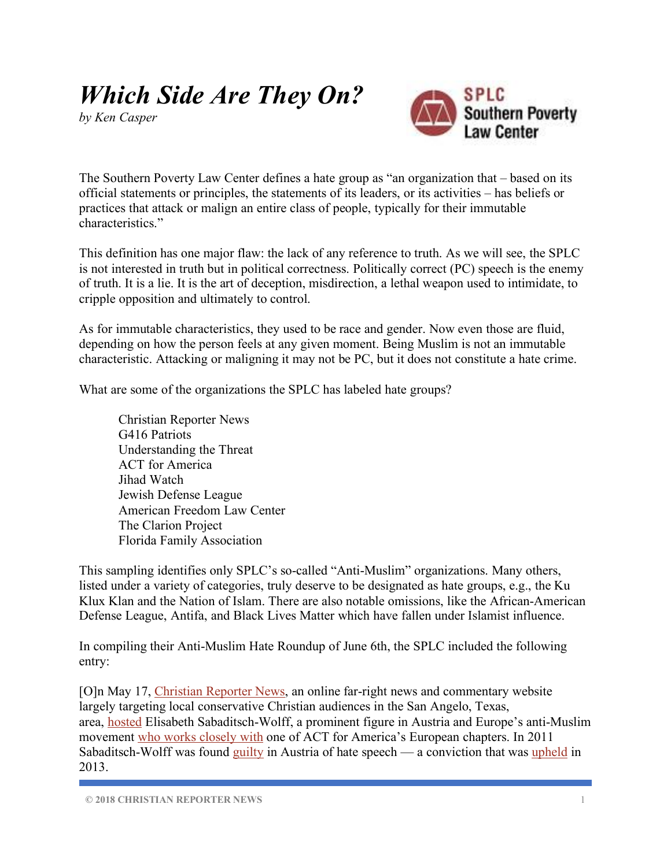## *Which Side Are They On?*

*by Ken Casper*



The Southern Poverty Law Center defines a hate group as "an organization that – based on its official statements or principles, the statements of its leaders, or its activities – has beliefs or practices that attack or malign an entire class of people, typically for their immutable characteristics."

This definition has one major flaw: the lack of any reference to truth. As we will see, the SPLC is not interested in truth but in political correctness. Politically correct (PC) speech is the enemy of truth. It is a lie. It is the art of deception, misdirection, a lethal weapon used to intimidate, to cripple opposition and ultimately to control.

As for immutable characteristics, they used to be race and gender. Now even those are fluid, depending on how the person feels at any given moment. Being Muslim is not an immutable characteristic. Attacking or maligning it may not be PC, but it does not constitute a hate crime.

What are some of the organizations the SPLC has labeled hate groups?

Christian Reporter News G416 Patriots Understanding the Threat ACT for America Jihad Watch Jewish Defense League American Freedom Law Center The Clarion Project Florida Family Association

This sampling identifies only SPLC's so-called "Anti-Muslim" organizations. Many others, listed under a variety of categories, truly deserve to be designated as hate groups, e.g., the Ku Klux Klan and the Nation of Islam. There are also notable omissions, like the African-American Defense League, Antifa, and Black Lives Matter which have fallen under Islamist influence.

In compiling their Anti-Muslim Hate Roundup of June 6th, the SPLC included the following entry:

[O]n May 17, Christian Reporter News, an online far-right news and commentary website largely targeting local conservative Christian audiences in the San Angelo, Texas, area, hosted Elisabeth Sabaditsch-Wolff, a prominent figure in Austria and Europe's anti-Muslim movement who works closely with one of ACT for America's European chapters. In 2011 Sabaditsch-Wolff was found  $g_{\text{u}}$  in Austria of hate speech — a conviction that was upheld in 2013.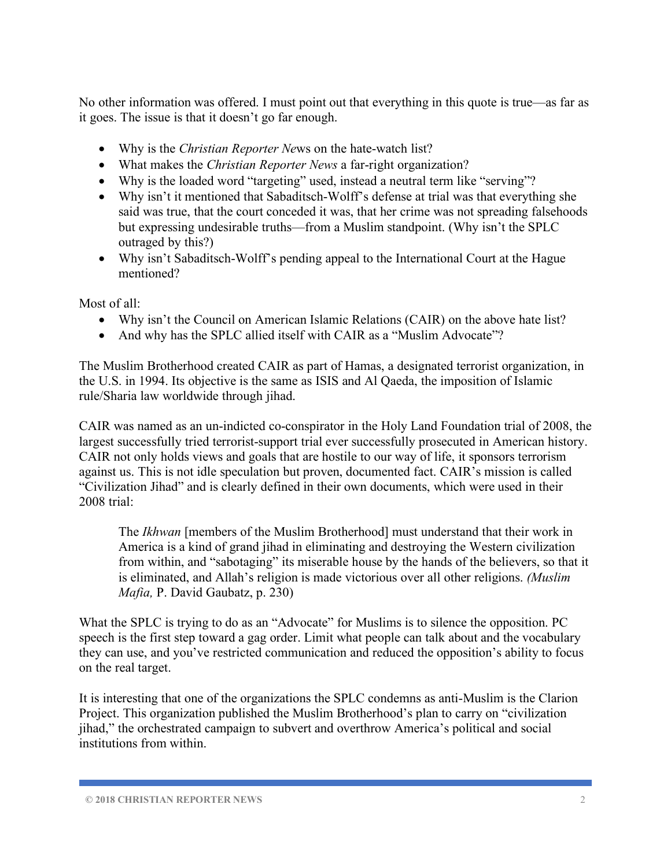No other information was offered. I must point out that everything in this quote is true—as far as it goes. The issue is that it doesn't go far enough.

- Why is the *Christian Reporter Ne*ws on the hate-watch list?
- What makes the *Christian Reporter News* a far-right organization?
- Why is the loaded word "targeting" used, instead a neutral term like "serving"?
- Why isn't it mentioned that Sabaditsch-Wolff's defense at trial was that everything she said was true, that the court conceded it was, that her crime was not spreading falsehoods but expressing undesirable truths—from a Muslim standpoint. (Why isn't the SPLC outraged by this?)
- Why isn't Sabaditsch-Wolff's pending appeal to the International Court at the Hague mentioned?

Most of all:

- Why isn't the Council on American Islamic Relations (CAIR) on the above hate list?
- And why has the SPLC allied itself with CAIR as a "Muslim Advocate"?

The Muslim Brotherhood created CAIR as part of Hamas, a designated terrorist organization, in the U.S. in 1994. Its objective is the same as ISIS and Al Qaeda, the imposition of Islamic rule/Sharia law worldwide through jihad.

CAIR was named as an un-indicted co-conspirator in the Holy Land Foundation trial of 2008, the largest successfully tried terrorist-support trial ever successfully prosecuted in American history. CAIR not only holds views and goals that are hostile to our way of life, it sponsors terrorism against us. This is not idle speculation but proven, documented fact. CAIR's mission is called "Civilization Jihad" and is clearly defined in their own documents, which were used in their 2008 trial:

The *Ikhwan* [members of the Muslim Brotherhood] must understand that their work in America is a kind of grand jihad in eliminating and destroying the Western civilization from within, and "sabotaging" its miserable house by the hands of the believers, so that it is eliminated, and Allah's religion is made victorious over all other religions. *(Muslim Mafia,* P. David Gaubatz, p. 230)

What the SPLC is trying to do as an "Advocate" for Muslims is to silence the opposition. PC speech is the first step toward a gag order. Limit what people can talk about and the vocabulary they can use, and you've restricted communication and reduced the opposition's ability to focus on the real target.

It is interesting that one of the organizations the SPLC condemns as anti-Muslim is the Clarion Project. This organization published the Muslim Brotherhood's plan to carry on "civilization jihad," the orchestrated campaign to subvert and overthrow America's political and social institutions from within.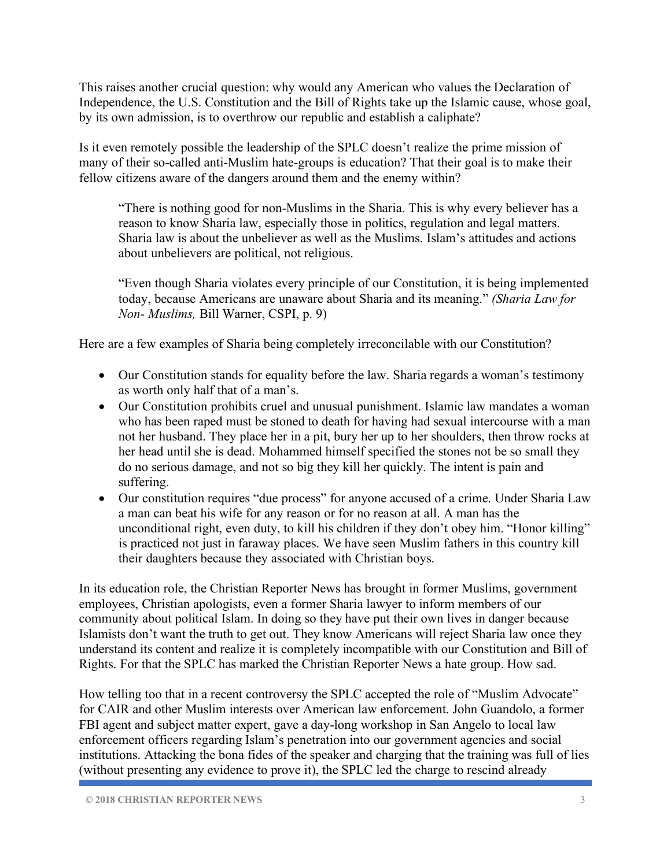This raises another crucial question: why would any American who values the Declaration of Independence, the U.S. Constitution and the Bill of Rights take up the Islamic cause, whose goal, by its own admission, is to overthrow our republic and establish a caliphate?

Is it even remotely possible the leadership of the SPLC doesn't realize the prime mission of many of their so-called anti-Muslim hate-groups is education? That their goal is to make their fellow citizens aware of the dangers around them and the enemy within?

"There is nothing good for non-Muslims in the Sharia. This is why every believer has a reason to know Sharia law, especially those in politics, regulation and legal matters. Sharia law is about the unbeliever as well as the Muslims. Islam's attitudes and actions about unbelievers are political, not religious.

"Even though Sharia violates every principle of our Constitution, it is being implemented today, because Americans are unaware about Sharia and its meaning." *(Sharia Law for Non- Muslims,* Bill Warner, CSPI, p. 9)

Here are a few examples of Sharia being completely irreconcilable with our Constitution?

- Our Constitution stands for equality before the law. Sharia regards a woman's testimony as worth only half that of a man's.
- Our Constitution prohibits cruel and unusual punishment. Islamic law mandates a woman who has been raped must be stoned to death for having had sexual intercourse with a man not her husband. They place her in a pit, bury her up to her shoulders, then throw rocks at her head until she is dead. Mohammed himself specified the stones not be so small they do no serious damage, and not so big they kill her quickly. The intent is pain and suffering.
- Our constitution requires "due process" for anyone accused of a crime. Under Sharia Law a man can beat his wife for any reason or for no reason at all. A man has the unconditional right, even duty, to kill his children if they don't obey him. "Honor killing" is practiced not just in faraway places. We have seen Muslim fathers in this country kill their daughters because they associated with Christian boys.

In its education role, the Christian Reporter News has brought in former Muslims, government employees, Christian apologists, even a former Sharia lawyer to inform members of our community about political Islam. In doing so they have put their own lives in danger because Islamists don't want the truth to get out. They know Americans will reject Sharia law once they understand its content and realize it is completely incompatible with our Constitution and Bill of Rights. For that the SPLC has marked the Christian Reporter News a hate group. How sad.

How telling too that in a recent controversy the SPLC accepted the role of "Muslim Advocate" for CAIR and other Muslim interests over American law enforcement. John Guandolo, a former FBI agent and subject matter expert, gave a day-long workshop in San Angelo to local law enforcement officers regarding Islam's penetration into our government agencies and social institutions. Attacking the bona fides of the speaker and charging that the training was full of lies (without presenting any evidence to prove it), the SPLC led the charge to rescind already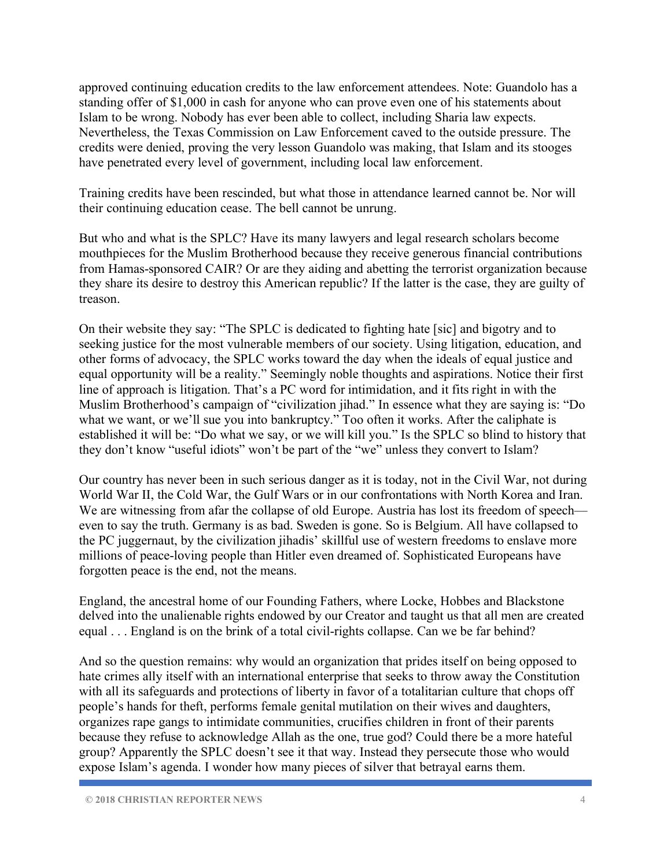approved continuing education credits to the law enforcement attendees. Note: Guandolo has a standing offer of \$1,000 in cash for anyone who can prove even one of his statements about Islam to be wrong. Nobody has ever been able to collect, including Sharia law expects. Nevertheless, the Texas Commission on Law Enforcement caved to the outside pressure. The credits were denied, proving the very lesson Guandolo was making, that Islam and its stooges have penetrated every level of government, including local law enforcement.

Training credits have been rescinded, but what those in attendance learned cannot be. Nor will their continuing education cease. The bell cannot be unrung.

But who and what is the SPLC? Have its many lawyers and legal research scholars become mouthpieces for the Muslim Brotherhood because they receive generous financial contributions from Hamas-sponsored CAIR? Or are they aiding and abetting the terrorist organization because they share its desire to destroy this American republic? If the latter is the case, they are guilty of treason.

On their website they say: "The SPLC is dedicated to fighting hate [sic] and bigotry and to seeking justice for the most vulnerable members of our society. Using litigation, education, and other forms of advocacy, the SPLC works toward the day when the ideals of equal justice and equal opportunity will be a reality." Seemingly noble thoughts and aspirations. Notice their first line of approach is litigation. That's a PC word for intimidation, and it fits right in with the Muslim Brotherhood's campaign of "civilization jihad." In essence what they are saying is: "Do what we want, or we'll sue you into bankruptcy." Too often it works. After the caliphate is established it will be: "Do what we say, or we will kill you." Is the SPLC so blind to history that they don't know "useful idiots" won't be part of the "we" unless they convert to Islam?

Our country has never been in such serious danger as it is today, not in the Civil War, not during World War II, the Cold War, the Gulf Wars or in our confrontations with North Korea and Iran. We are witnessing from afar the collapse of old Europe. Austria has lost its freedom of speech even to say the truth. Germany is as bad. Sweden is gone. So is Belgium. All have collapsed to the PC juggernaut, by the civilization jihadis' skillful use of western freedoms to enslave more millions of peace-loving people than Hitler even dreamed of. Sophisticated Europeans have forgotten peace is the end, not the means.

England, the ancestral home of our Founding Fathers, where Locke, Hobbes and Blackstone delved into the unalienable rights endowed by our Creator and taught us that all men are created equal . . . England is on the brink of a total civil-rights collapse. Can we be far behind?

And so the question remains: why would an organization that prides itself on being opposed to hate crimes ally itself with an international enterprise that seeks to throw away the Constitution with all its safeguards and protections of liberty in favor of a totalitarian culture that chops off people's hands for theft, performs female genital mutilation on their wives and daughters, organizes rape gangs to intimidate communities, crucifies children in front of their parents because they refuse to acknowledge Allah as the one, true god? Could there be a more hateful group? Apparently the SPLC doesn't see it that way. Instead they persecute those who would expose Islam's agenda. I wonder how many pieces of silver that betrayal earns them.